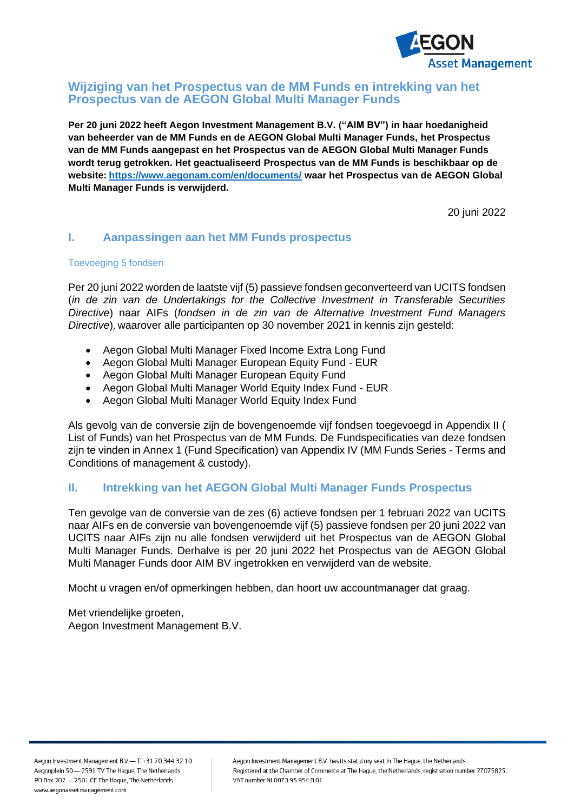

#### **Wijziging van het Prospectus van de MM Funds en intrekking van het Prospectus van de AEGON Global Multi Manager Funds**

**Per 20 juni 2022 heeft Aegon Investment Management B.V. ("AIM BV") in haar hoedanigheid van beheerder van de MM Funds en de AEGON Global Multi Manager Funds, het Prospectus van de MM Funds aangepast en het Prospectus van de AEGON Global Multi Manager Funds wordt terug getrokken. Het geactualiseerd Prospectus van de MM Funds is beschikbaar op de website: <https://www.aegonam.com/en/documents/> waar het Prospectus van de AEGON Global Multi Manager Funds is verwijderd.** 

20 juni 2022

# **I. Aanpassingen aan het MM Funds prospectus**

#### Toevoeging 5 fondsen

Per 20 juni 2022 worden de laatste vijf (5) passieve fondsen geconverteerd van UCITS fondsen (*in de zin van de Undertakings for the Collective Investment in Transferable Securities Directive*) naar AIFs (*fondsen in de zin van de Alternative Investment Fund Managers Directive*), waarover alle participanten op 30 november 2021 in kennis zijn gesteld:

- Aegon Global Multi Manager Fixed Income Extra Long Fund
- Aegon Global Multi Manager European Equity Fund EUR
- Aegon Global Multi Manager European Equity Fund
- Aegon Global Multi Manager World Equity Index Fund EUR
- Aegon Global Multi Manager World Equity Index Fund

Als gevolg van de conversie zijn de bovengenoemde vijf fondsen toegevoegd in Appendix II ( List of Funds) van het Prospectus van de MM Funds. De Fundspecificaties van deze fondsen zijn te vinden in Annex 1 (Fund Specification) van Appendix IV (MM Funds Series - Terms and Conditions of management & custody).

# **II. Intrekking van het AEGON Global Multi Manager Funds Prospectus**

Ten gevolge van de conversie van de zes (6) actieve fondsen per 1 februari 2022 van UCITS naar AIFs en de conversie van bovengenoemde vijf (5) passieve fondsen per 20 juni 2022 van UCITS naar AIFs zijn nu alle fondsen verwijderd uit het Prospectus van de AEGON Global Multi Manager Funds. Derhalve is per 20 juni 2022 het Prospectus van de AEGON Global Multi Manager Funds door AIM BV ingetrokken en verwijderd van de website.

Mocht u vragen en/of opmerkingen hebben, dan hoort uw accountmanager dat graag.

Met vriendelijke groeten, Aegon Investment Management B.V.